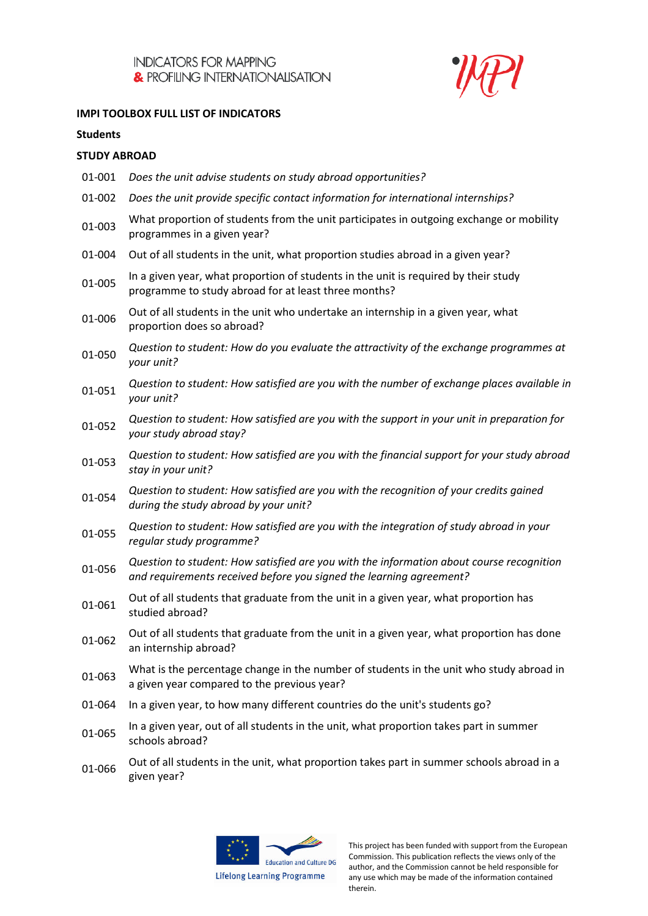

## **IMPI TOOLBOX FULL LIST OF INDICATORS**

#### **Students**

## **STUDY ABROAD**

| 01-001 | Does the unit advise students on study abroad opportunities?                                                                                                    |
|--------|-----------------------------------------------------------------------------------------------------------------------------------------------------------------|
| 01-002 | Does the unit provide specific contact information for international internships?                                                                               |
| 01-003 | What proportion of students from the unit participates in outgoing exchange or mobility<br>programmes in a given year?                                          |
| 01-004 | Out of all students in the unit, what proportion studies abroad in a given year?                                                                                |
| 01-005 | In a given year, what proportion of students in the unit is required by their study<br>programme to study abroad for at least three months?                     |
| 01-006 | Out of all students in the unit who undertake an internship in a given year, what<br>proportion does so abroad?                                                 |
| 01-050 | Question to student: How do you evaluate the attractivity of the exchange programmes at<br>your unit?                                                           |
| 01-051 | Question to student: How satisfied are you with the number of exchange places available in<br>your unit?                                                        |
| 01-052 | Question to student: How satisfied are you with the support in your unit in preparation for<br>your study abroad stay?                                          |
| 01-053 | Question to student: How satisfied are you with the financial support for your study abroad<br>stay in your unit?                                               |
| 01-054 | Question to student: How satisfied are you with the recognition of your credits gained<br>during the study abroad by your unit?                                 |
| 01-055 | Question to student: How satisfied are you with the integration of study abroad in your<br>regular study programme?                                             |
| 01-056 | Question to student: How satisfied are you with the information about course recognition<br>and requirements received before you signed the learning agreement? |
| 01-061 | Out of all students that graduate from the unit in a given year, what proportion has<br>studied abroad?                                                         |
| 01-062 | Out of all students that graduate from the unit in a given year, what proportion has done<br>an internship abroad?                                              |
| 01-063 | What is the percentage change in the number of students in the unit who study abroad in<br>a given year compared to the previous year?                          |
| 01-064 | In a given year, to how many different countries do the unit's students go?                                                                                     |
| 01-065 | In a given year, out of all students in the unit, what proportion takes part in summer<br>schools abroad?                                                       |
|        | Out of all students in the unit, what proportion takes part in summer schools abroad in a                                                                       |

Out of all students in the unit, what proportion takes part in summer schools abroad in a<br>01-066 abree uses? given year?

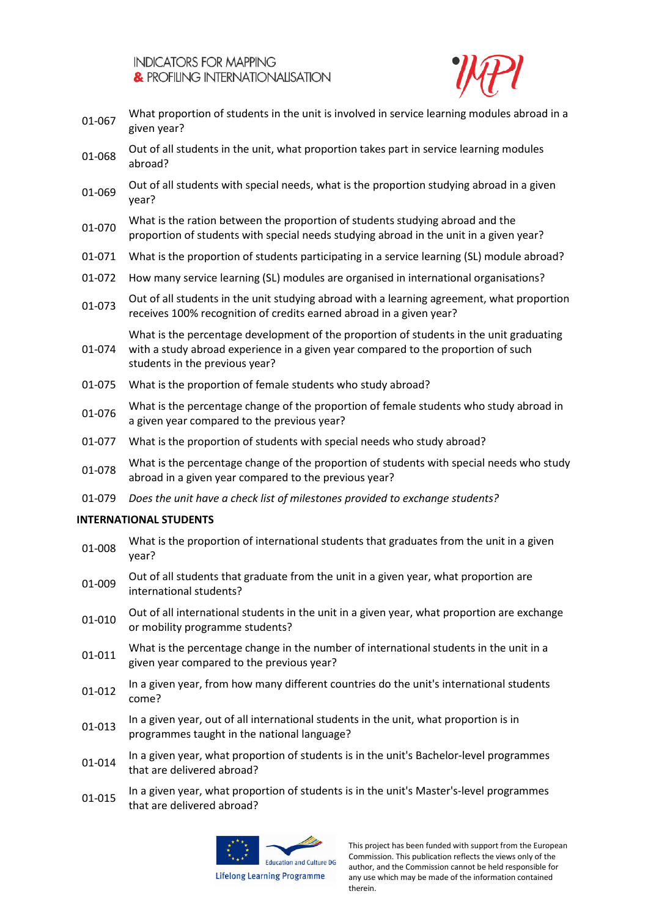

- 01-067 What proportion of students in the unit is involved in service learning modules abroad in a given year?
- Out of all students in the unit, what proportion takes part in service learning modules abroad?
- Out of all students with special needs, what is the proportion studying abroad in a given year?
- 01-070 What is the ration between the proportion of students studying abroad and the proportion of students with special needs studying abroad in the unit in a given year?
- 01-071 What is the proportion of students participating in a service learning (SL) module abroad?
- 01-072 How many service learning (SL) modules are organised in international organisations?
- 01-073 Out of all students in the unit studying abroad with a learning agreement, what proportion receives 100% recognition of credits earned abroad in a given year?

What is the percentage development of the proportion of students in the unit graduating

- 01-074 with a study abroad experience in a given year compared to the proportion of such students in the previous year?
- 01-075 What is the proportion of female students who study abroad?
- 01-076 What is the percentage change of the proportion of female students who study abroad in a given year compared to the previous year?
- 01-077 What is the proportion of students with special needs who study abroad?
- 01-078 What is the percentage change of the proportion of students with special needs who study abroad in a given year compared to the previous year?
- 01-079 *Does the unit have a check list of milestones provided to exchange students?*

## **INTERNATIONAL STUDENTS**

- 01-008 What is the proportion of international students that graduates from the unit in a given year?
- 01-009 Out of all students that graduate from the unit in a given year, what proportion are international students?
- 01-010 Out of all international students in the unit in a given year, what proportion are exchange or mobility programme students?
- 01-011 What is the percentage change in the number of international students in the unit in a given year compared to the previous year?
- 01-012 In a given year, from how many different countries do the unit's international students come?
- 01-013 In a given year, out of all international students in the unit, what proportion is in programmes taught in the national language?
- 01-014 In a given year, what proportion of students is in the unit's Bachelor-level programmes that are delivered abroad?
- 01-015 In a given year, what proportion of students is in the unit's Master's-level programmes that are delivered abroad?



**Lifelong Learning Programme**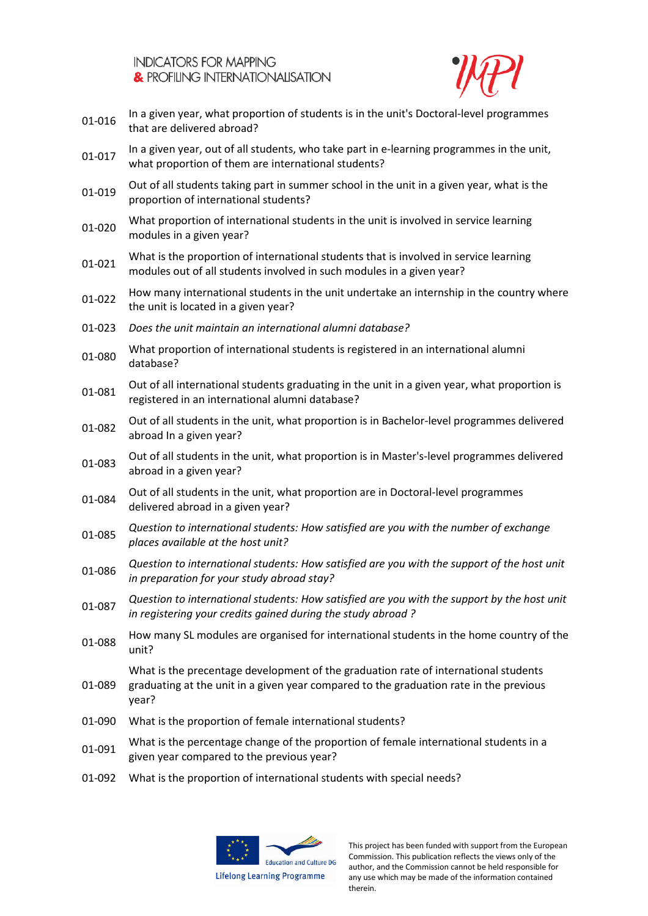

- 01-016 In a given year, what proportion of students is in the unit's Doctoral-level programmes that are delivered abroad?
- 01-017 In a given year, out of all students, who take part in e-learning programmes in the unit, what proportion of them are international students?
- 01-019 Out of all students taking part in summer school in the unit in a given year, what is the proportion of international students?
- 01-020 What proportion of international students in the unit is involved in service learning modules in a given year?
- 01-021 What is the proportion of international students that is involved in service learning modules out of all students involved in such modules in a given year?
- 01-022 How many international students in the unit undertake an internship in the country where the unit is located in a given year?
- 01-023 *Does the unit maintain an international alumni database?*
- 01-080 What proportion of international students is registered in an international alumni database?
- 01-081 Out of all international students graduating in the unit in a given year, what proportion is registered in an international alumni database?
- Out of all students in the unit, what proportion is in Bachelor-level programmes delivered abroad In a given year?
- 01-083 Out of all students in the unit, what proportion is in Master's-level programmes delivered abroad in a given year?
- 01-084 Out of all students in the unit, what proportion are in Doctoral-level programmes delivered abroad in a given year?
- 01-085 *Question to international students: How satisfied are you with the number of exchange places available at the host unit?*
- 01-086 *Question to international students: How satisfied are you with the support of the host unit in preparation for your study abroad stay?*
- 01-087 *Question to international students: How satisfied are you with the support by the host unit in registering your credits gained during the study abroad ?*
- 01-088 How many SL modules are organised for international students in the home country of the unit?

What is the precentage development of the graduation rate of international students graduating at the unit in a given year compared to the graduation rate in the previous

year?

01-089

- 01-090 What is the proportion of female international students?
- 01-091 What is the percentage change of the proportion of female international students in a given year compared to the previous year?
- 01-092 What is the proportion of international students with special needs?

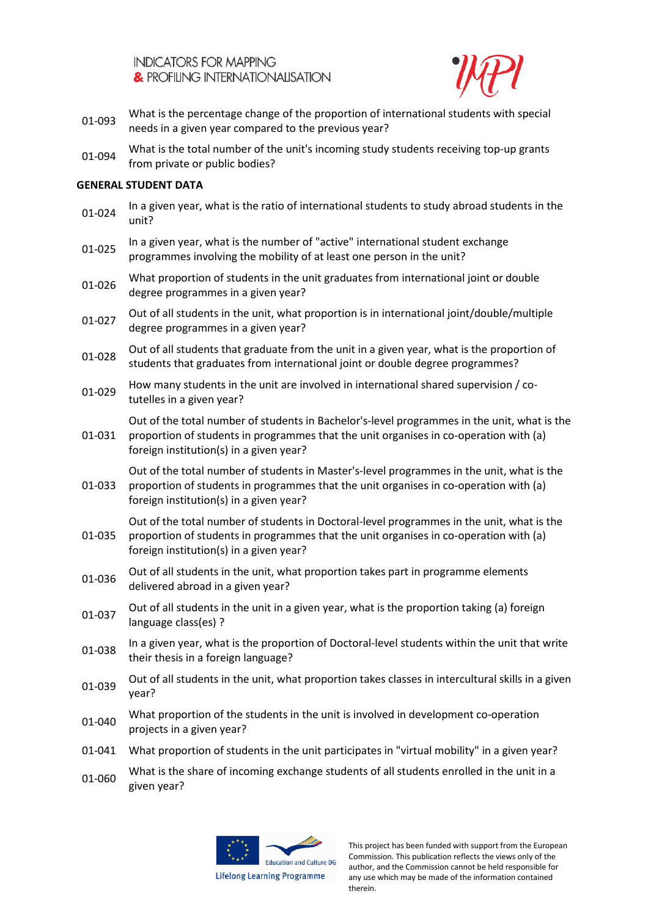

- 01-093 What is the percentage change of the proportion of international students with special needs in a given year compared to the previous year?
- 01-094 What is the total number of the unit's incoming study students receiving top-up grants from private or public bodies?

## **GENERAL STUDENT DATA**

- 01-024 In a given year, what is the ratio of international students to study abroad students in the unit?
- 01-025 In a given year, what is the number of "active" international student exchange programmes involving the mobility of at least one person in the unit?
- 01-026 What proportion of students in the unit graduates from international joint or double degree programmes in a given year?
- 01-027 Out of all students in the unit, what proportion is in international joint/double/multiple degree programmes in a given year?
- 01-028 Out of all students that graduate from the unit in a given year, what is the proportion of students that graduates from international joint or double degree programmes?
- 01-029 How many students in the unit are involved in international shared supervision / cotutelles in a given year?

Out of the total number of students in Bachelor's-level programmes in the unit, what is the

01-031 proportion of students in programmes that the unit organises in co-operation with (a) foreign institution(s) in a given year?

01-033 Out of the total number of students in Master's-level programmes in the unit, what is the proportion of students in programmes that the unit organises in co-operation with (a)

foreign institution(s) in a given year?

01-035 Out of the total number of students in Doctoral-level programmes in the unit, what is the proportion of students in programmes that the unit organises in co-operation with (a) foreign institution(s) in a given year?

- Out of all students in the unit, what proportion takes part in programme elements delivered abroad in a given year?
- 01-037 Out of all students in the unit in a given year, what is the proportion taking (a) foreign language class(es) ?
- 01-038 In a given year, what is the proportion of Doctoral-level students within the unit that write their thesis in a foreign language?
- Out of all students in the unit, what proportion takes classes in intercultural skills in a given year?
- 01-040 What proportion of the students in the unit is involved in development co-operation projects in a given year?
- 01-041 What proportion of students in the unit participates in "virtual mobility" in a given year?
- 01-060 What is the share of incoming exchange students of all students enrolled in the unit in a given year?

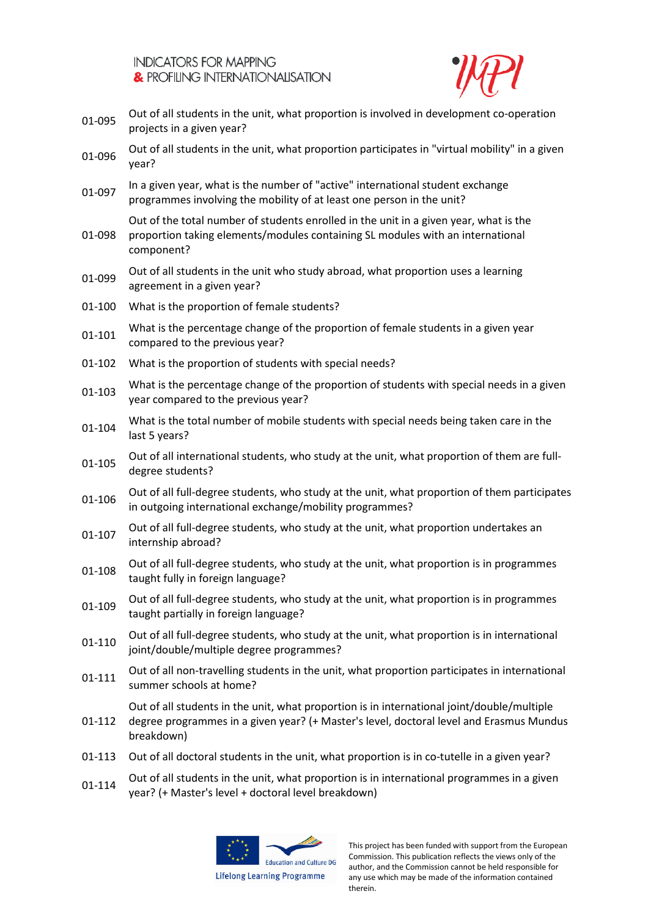

- Out of all students in the unit, what proportion is involved in development co-operation projects in a given year?
- 01-096 Out of all students in the unit, what proportion participates in "virtual mobility" in a given year?
- 01-097 In a given year, what is the number of "active" international student exchange programmes involving the mobility of at least one person in the unit?

Out of the total number of students enrolled in the unit in a given year, what is the

- 01-098 proportion taking elements/modules containing SL modules with an international component?
- 01-099 Out of all students in the unit who study abroad, what proportion uses a learning agreement in a given year?
- 01-100 What is the proportion of female students?
- 01-101 What is the percentage change of the proportion of female students in a given year compared to the previous year?
- 01-102 What is the proportion of students with special needs?
- 01-103 What is the percentage change of the proportion of students with special needs in a given year compared to the previous year?
- What is the total number of mobile students with special needs being taken care in the<br>01-104 last 5 years?
- Out of all international students, who study at the unit, what proportion of them are full-<br>01-105 degree students?
- Out of all full-degree students, who study at the unit, what proportion of them participates in outgoing international exchange/mobility programmes?
- Out of all full-degree students, who study at the unit, what proportion undertakes an internship abroad?
- 01-108 Out of all full-degree students, who study at the unit, what proportion is in programmes taught fully in foreign language?
- 01-109 Out of all full-degree students, who study at the unit, what proportion is in programmes taught partially in foreign language?
- 01-110 Out of all full-degree students, who study at the unit, what proportion is in international joint/double/multiple degree programmes?
- 01-111 Out of all non-travelling students in the unit, what proportion participates in international summer schools at home?

01-112 Out of all students in the unit, what proportion is in international joint/double/multiple degree programmes in a given year? (+ Master's level, doctoral level and Erasmus Mundus breakdown)

- 01-113 Out of all doctoral students in the unit, what proportion is in co-tutelle in a given year?
- 01-114 Out of all students in the unit, what proportion is in international programmes in a given year? (+ Master's level + doctoral level breakdown)

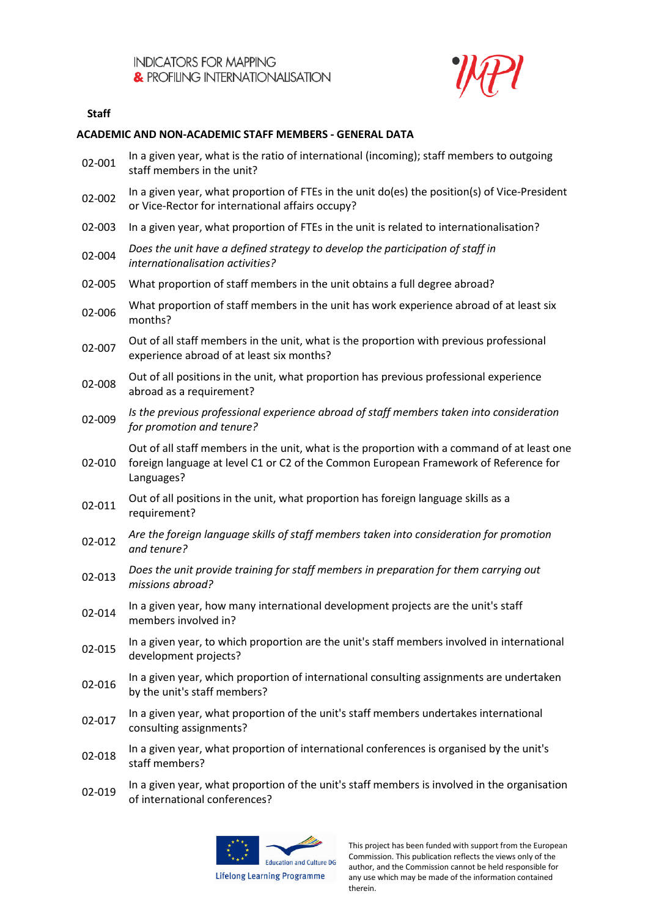

## **Staff**

## **ACADEMIC AND NON-ACADEMIC STAFF MEMBERS - GENERAL DATA**

| 02-001 | In a given year, what is the ratio of international (incoming); staff members to outgoing<br>staff members in the unit?                                                                           |
|--------|---------------------------------------------------------------------------------------------------------------------------------------------------------------------------------------------------|
| 02-002 | In a given year, what proportion of FTEs in the unit do(es) the position(s) of Vice-President<br>or Vice-Rector for international affairs occupy?                                                 |
| 02-003 | In a given year, what proportion of FTEs in the unit is related to internationalisation?                                                                                                          |
| 02-004 | Does the unit have a defined strategy to develop the participation of staff in<br>internationalisation activities?                                                                                |
| 02-005 | What proportion of staff members in the unit obtains a full degree abroad?                                                                                                                        |
| 02-006 | What proportion of staff members in the unit has work experience abroad of at least six<br>months?                                                                                                |
| 02-007 | Out of all staff members in the unit, what is the proportion with previous professional<br>experience abroad of at least six months?                                                              |
| 02-008 | Out of all positions in the unit, what proportion has previous professional experience<br>abroad as a requirement?                                                                                |
| 02-009 | Is the previous professional experience abroad of staff members taken into consideration<br>for promotion and tenure?                                                                             |
| 02-010 | Out of all staff members in the unit, what is the proportion with a command of at least one<br>foreign language at level C1 or C2 of the Common European Framework of Reference for<br>Languages? |
| 02-011 | Out of all positions in the unit, what proportion has foreign language skills as a<br>requirement?                                                                                                |
| 02-012 | Are the foreign language skills of staff members taken into consideration for promotion<br>and tenure?                                                                                            |
| 02-013 | Does the unit provide training for staff members in preparation for them carrying out<br>missions abroad?                                                                                         |
| 02-014 | In a given year, how many international development projects are the unit's staff<br>members involved in?                                                                                         |
| 02-015 | In a given year, to which proportion are the unit's staff members involved in international<br>development projects?                                                                              |
| 02-016 | In a given year, which proportion of international consulting assignments are undertaken<br>by the unit's staff members?                                                                          |
| 02-017 | In a given year, what proportion of the unit's staff members undertakes international<br>consulting assignments?                                                                                  |
| 02-018 | In a given year, what proportion of international conferences is organised by the unit's<br>staff members?                                                                                        |
|        |                                                                                                                                                                                                   |

In a given year, what proportion of the unit's staff members is involved in the organisation of the unit's staff members is involved in the organisation of international conferences?

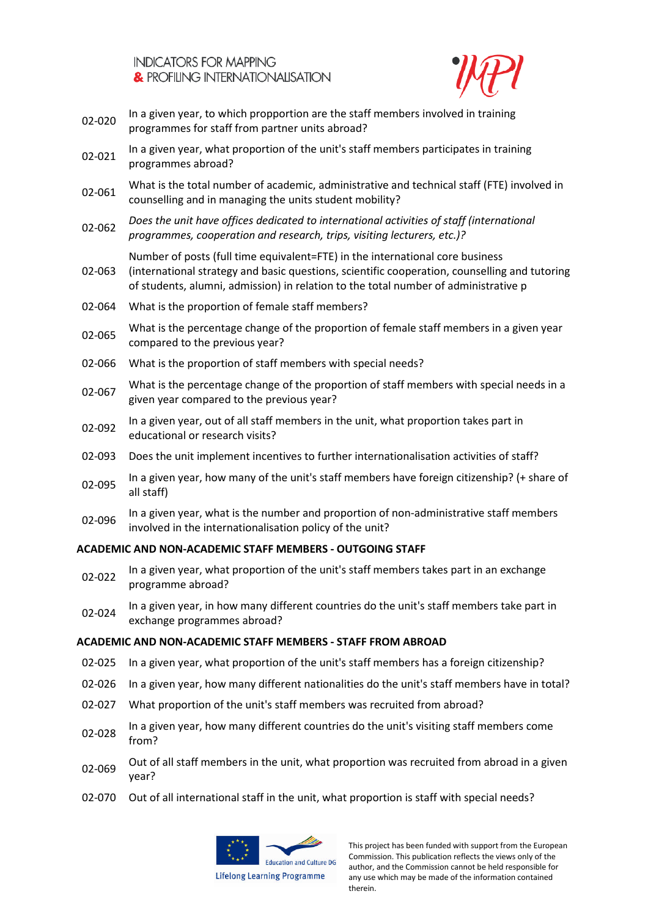

- 02-020 In a given year, to which propportion are the staff members involved in training programmes for staff from partner units abroad?
- 02-021 In a given year, what proportion of the unit's staff members participates in training programmes abroad?
- 02-061 What is the total number of academic, administrative and technical staff (FTE) involved in counselling and in managing the units student mobility?
- 02-062 *Does the unit have offices dedicated to international activities of staff (international programmes, cooperation and research, trips, visiting lecturers, etc.)?*

Number of posts (full time equivalent=FTE) in the international core business

- 02-063 (international strategy and basic questions, scientific cooperation, counselling and tutoring of students, alumni, admission) in relation to the total number of administrative p
- 02-064 What is the proportion of female staff members?
- 02-065 What is the percentage change of the proportion of female staff members in a given year compared to the previous year?
- 02-066 What is the proportion of staff members with special needs?
- 02-067 What is the percentage change of the proportion of staff members with special needs in a given year compared to the previous year?
- 02-092 In a given year, out of all staff members in the unit, what proportion takes part in educational or research visits?
- 02-093 Does the unit implement incentives to further internationalisation activities of staff?
- 02-095 In a given year, how many of the unit's staff members have foreign citizenship? (+ share of all staff)
- 02-096 In a given year, what is the number and proportion of non-administrative staff members involved in the internationalisation policy of the unit?

## **ACADEMIC AND NON-ACADEMIC STAFF MEMBERS - OUTGOING STAFF**

- 02-022 In a given year, what proportion of the unit's staff members takes part in an exchange programme abroad?
- 02-024 In a given year, in how many different countries do the unit's staff members take part in exchange programmes abroad?

## **ACADEMIC AND NON-ACADEMIC STAFF MEMBERS - STAFF FROM ABROAD**

- 02-025 In a given year, what proportion of the unit's staff members has a foreign citizenship?
- 02-026 In a given year, how many different nationalities do the unit's staff members have in total?
- 02-027 What proportion of the unit's staff members was recruited from abroad?
- 02-028 In a given year, how many different countries do the unit's visiting staff members come from?
- 02-069 Out of all staff members in the unit, what proportion was recruited from abroad in a given year?
- 02-070 Out of all international staff in the unit, what proportion is staff with special needs?

![](_page_6_Picture_26.jpeg)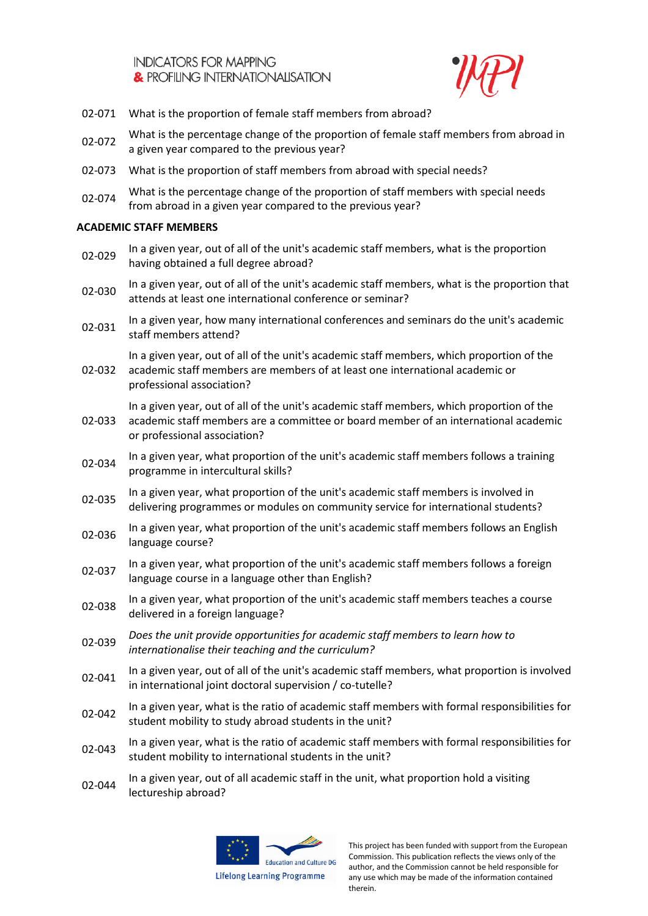![](_page_7_Picture_1.jpeg)

- 02-071 What is the proportion of female staff members from abroad?
- 02-072 What is the percentage change of the proportion of female staff members from abroad in a given year compared to the previous year?
- 02-073 What is the proportion of staff members from abroad with special needs?
- 02-074 What is the percentage change of the proportion of staff members with special needs from abroad in a given year compared to the previous year?

# **ACADEMIC STAFF MEMBERS**

- 02-029 In a given year, out of all of the unit's academic staff members, what is the proportion having obtained a full degree abroad?
- 02-030 In a given year, out of all of the unit's academic staff members, what is the proportion that attends at least one international conference or seminar?
- 02-031 In a given year, how many international conferences and seminars do the unit's academic staff members attend?

In a given year, out of all of the unit's academic staff members, which proportion of the

02-032 academic staff members are members of at least one international academic or professional association?

In a given year, out of all of the unit's academic staff members, which proportion of the

- 02-033 academic staff members are a committee or board member of an international academic or professional association?
- 02-034 In a given year, what proportion of the unit's academic staff members follows a training programme in intercultural skills?
- 02-035 In a given year, what proportion of the unit's academic staff members is involved in delivering programmes or modules on community service for international students?
- 02-036 In a given year, what proportion of the unit's academic staff members follows an English language course?
- 02-037 In a given year, what proportion of the unit's academic staff members follows a foreign language course in a language other than English?
- 02-038 In a given year, what proportion of the unit's academic staff members teaches a course delivered in a foreign language?
- 02-039 *Does the unit provide opportunities for academic staff members to learn how to internationalise their teaching and the curriculum?*
- 02-041 In a given year, out of all of the unit's academic staff members, what proportion is involved in international joint doctoral supervision / co-tutelle?
- 02-042 In a given year, what is the ratio of academic staff members with formal responsibilities for student mobility to study abroad students in the unit?
- 02-043 In a given year, what is the ratio of academic staff members with formal responsibilities for student mobility to international students in the unit?
- 02-044 In a given year, out of all academic staff in the unit, what proportion hold a visiting lectureship abroad?

![](_page_7_Picture_24.jpeg)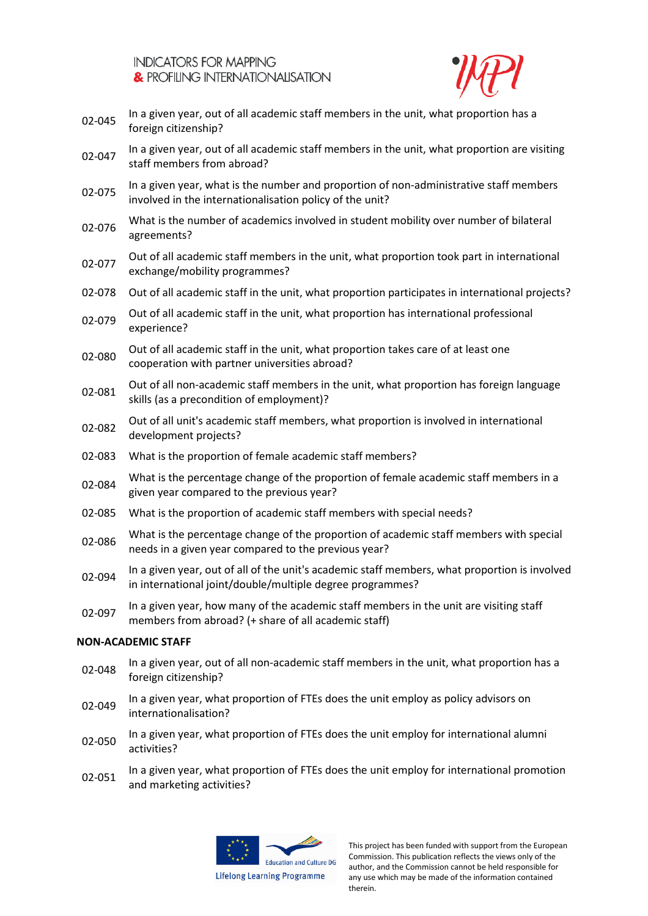![](_page_8_Picture_1.jpeg)

- 02-045 In a given year, out of all academic staff members in the unit, what proportion has a foreign citizenship?
- 02-047 In a given year, out of all academic staff members in the unit, what proportion are visiting staff members from abroad?
- 02-075 In a given year, what is the number and proportion of non-administrative staff members involved in the internationalisation policy of the unit?
- 02-076 What is the number of academics involved in student mobility over number of bilateral agreements?
- 02-077 Out of all academic staff members in the unit, what proportion took part in international exchange/mobility programmes?
- 02-078 Out of all academic staff in the unit, what proportion participates in international projects?
- 02-079 Out of all academic staff in the unit, what proportion has international professional experience?
- 02-080 Out of all academic staff in the unit, what proportion takes care of at least one cooperation with partner universities abroad?
- 02-081 Out of all non-academic staff members in the unit, what proportion has foreign language skills (as a precondition of employment)?
- 02-082 Out of all unit's academic staff members, what proportion is involved in international development projects?
- 02-083 What is the proportion of female academic staff members?
- 02-084 What is the percentage change of the proportion of female academic staff members in a given year compared to the previous year?
- 02-085 What is the proportion of academic staff members with special needs?
- What is the percentage change of the proportion of academic staff members with special<br>02-086 needs in a given year compared to the previous year?
- 02-094 In a given year, out of all of the unit's academic staff members, what proportion is involved in international joint/double/multiple degree programmes?
- 02-097 In a given year, how many of the academic staff members in the unit are visiting staff members from abroad? (+ share of all academic staff)

#### **NON-ACADEMIC STAFF**

- In a given year, out of all non-academic staff members in the unit, what proportion has a 02-048 foreign citizenship?
- 02-049 In a given year, what proportion of FTEs does the unit employ as policy advisors on internationalisation?
- 02-050 In a given year, what proportion of FTEs does the unit employ for international alumni activities?
- 02-051 In a given year, what proportion of FTEs does the unit employ for international promotion and marketing activities?

![](_page_8_Picture_23.jpeg)

**Lifelong Learning Programme**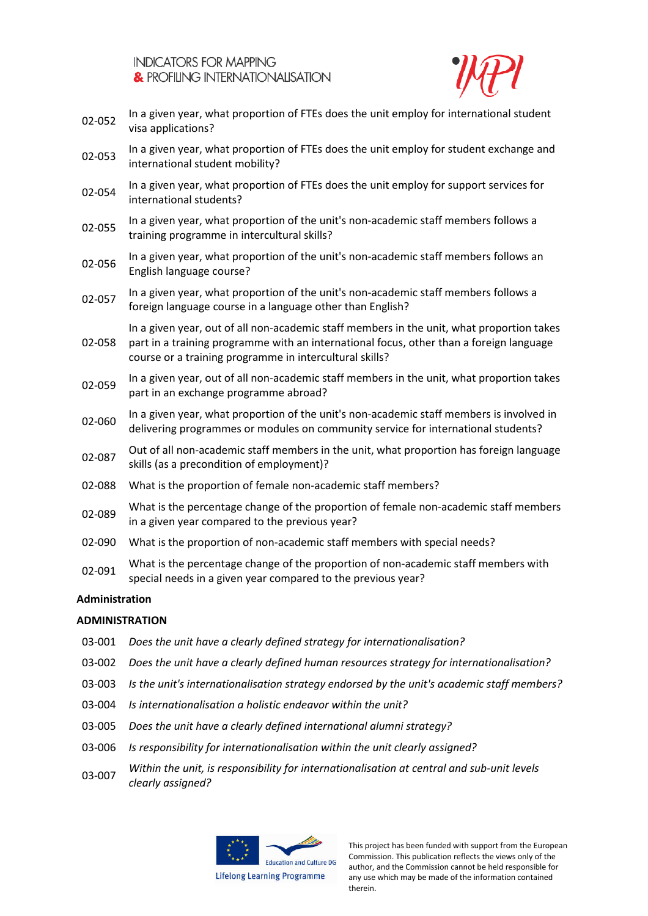![](_page_9_Picture_1.jpeg)

- 02-052 In a given year, what proportion of FTEs does the unit employ for international student visa applications?
- 02-053 In a given year, what proportion of FTEs does the unit employ for student exchange and international student mobility?
- 02-054 In a given year, what proportion of FTEs does the unit employ for support services for international students?
- 02-055 In a given year, what proportion of the unit's non-academic staff members follows a training programme in intercultural skills?
- 02-056 In a given year, what proportion of the unit's non-academic staff members follows an English language course?
- 02-057 In a given year, what proportion of the unit's non-academic staff members follows a foreign language course in a language other than English?

02-058 In a given year, out of all non-academic staff members in the unit, what proportion takes part in a training programme with an international focus, other than a foreign language course or a training programme in intercultural skills?

- 02-059 In a given year, out of all non-academic staff members in the unit, what proportion takes part in an exchange programme abroad?
- 02-060 In a given year, what proportion of the unit's non-academic staff members is involved in delivering programmes or modules on community service for international students?
- O2-087 Out of all non-academic staff members in the unit, what proportion has foreign language skills (as a precondition of employment)?
- 02-088 What is the proportion of female non-academic staff members?
- 02-089 What is the percentage change of the proportion of female non-academic staff members in a given year compared to the previous year?
- 02-090 What is the proportion of non-academic staff members with special needs?
- 02-091 What is the percentage change of the proportion of non-academic staff members with special needs in a given year compared to the previous year?

## **Administration**

## **ADMINISTRATION**

- 03-001 *Does the unit have a clearly defined strategy for internationalisation?*
- 03-002 *Does the unit have a clearly defined human resources strategy for internationalisation?*
- 03-003 *Is the unit's internationalisation strategy endorsed by the unit's academic staff members?*
- 03-004 *Is internationalisation a holistic endeavor within the unit?*
- 03-005 *Does the unit have a clearly defined international alumni strategy?*
- 03-006 *Is responsibility for internationalisation within the unit clearly assigned?*
- 03-007 *Within the unit, is responsibility for internationalisation at central and sub-unit levels clearly assigned?*

![](_page_9_Picture_25.jpeg)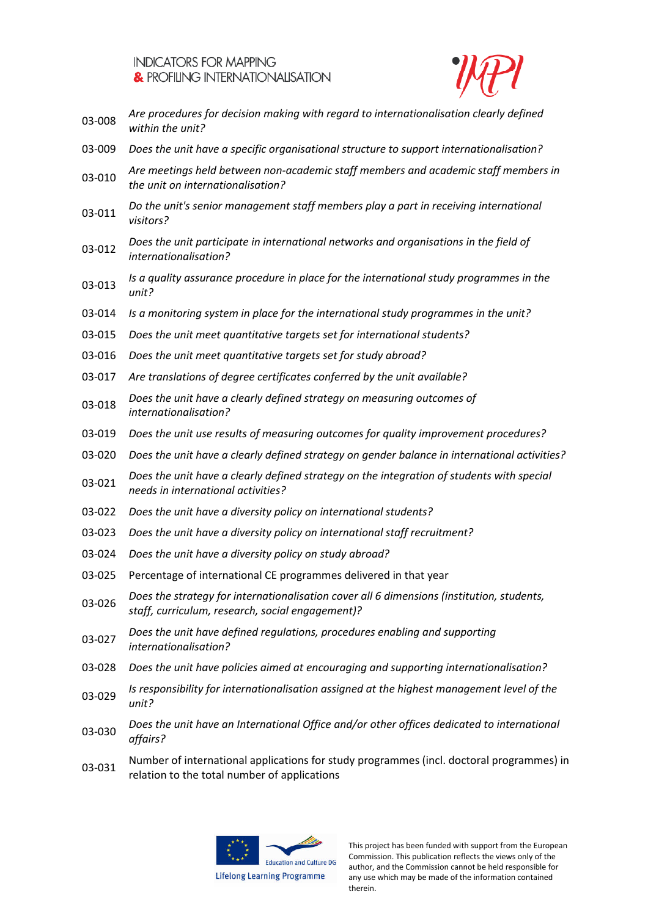![](_page_10_Picture_1.jpeg)

- 03-008 *Are procedures for decision making with regard to internationalisation clearly defined within the unit?*
- 03-009 *Does the unit have a specific organisational structure to support internationalisation?*
- 03-010 *Are meetings held between non-academic staff members and academic staff members in the unit on internationalisation?*
- 03-011 *Do the unit's senior management staff members play a part in receiving international visitors?*
- 03-012 *Does the unit participate in international networks and organisations in the field of internationalisation?*
- 03-013 *Is a quality assurance procedure in place for the international study programmes in the unit?*
- 03-014 *Is a monitoring system in place for the international study programmes in the unit?*
- 03-015 *Does the unit meet quantitative targets set for international students?*
- 03-016 *Does the unit meet quantitative targets set for study abroad?*
- 03-017 *Are translations of degree certificates conferred by the unit available?*
- 03-018 *Does the unit have a clearly defined strategy on measuring outcomes of internationalisation?*
- 03-019 *Does the unit use results of measuring outcomes for quality improvement procedures?*
- 03-020 *Does the unit have a clearly defined strategy on gender balance in international activities?*
- 03-021 *Does the unit have a clearly defined strategy on the integration of students with special needs in international activities?*
- 03-022 *Does the unit have a diversity policy on international students?*
- 03-023 *Does the unit have a diversity policy on international staff recruitment?*
- 03-024 *Does the unit have a diversity policy on study abroad?*
- 03-025 Percentage of international CE programmes delivered in that year
- 03-026 *Does the strategy for internationalisation cover all 6 dimensions (institution, students, staff, curriculum, research, social engagement)?*
- 03-027 *Does the unit have defined regulations, procedures enabling and supporting internationalisation?*
- 03-028 *Does the unit have policies aimed at encouraging and supporting internationalisation?*
- 03-029 *Is responsibility for internationalisation assigned at the highest management level of the unit?*
- 03-030 *Does the unit have an International Office and/or other offices dedicated to international affairs?*
- 03-031 Number of international applications for study programmes (incl. doctoral programmes) in relation to the total number of applications

![](_page_10_Picture_26.jpeg)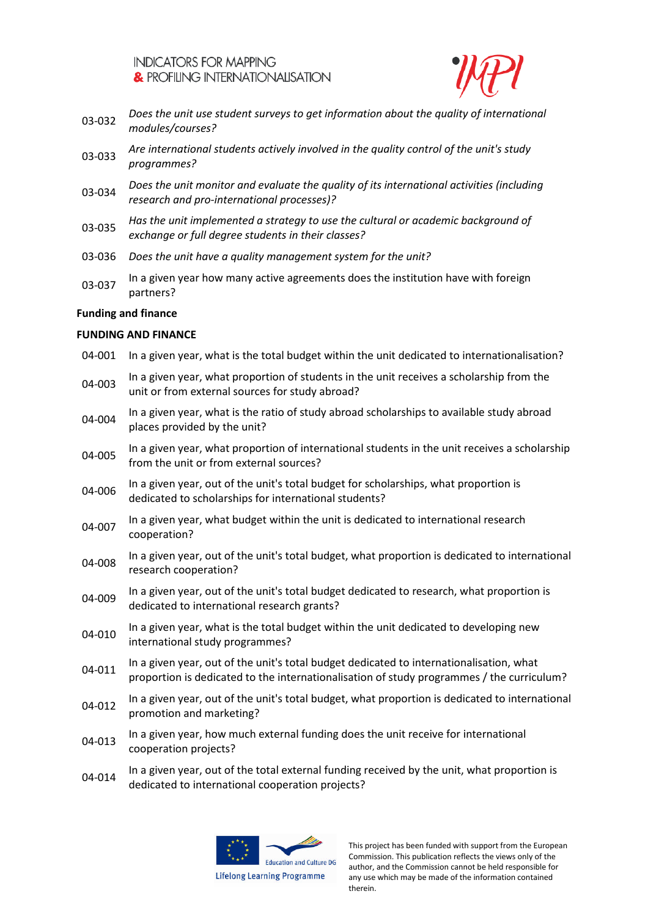![](_page_11_Picture_1.jpeg)

- 03-032 *Does the unit use student surveys to get information about the quality of international modules/courses?*
- 03-033 *Are international students actively involved in the quality control of the unit's study programmes?*
- 03-034 *Does the unit monitor and evaluate the quality of its international activities (including research and pro-international processes)?*
- 03-035 *Has the unit implemented a strategy to use the cultural or academic background of exchange or full degree students in their classes?*
- 03-036 *Does the unit have a quality management system for the unit?*
- 03-037 In a given year how many active agreements does the institution have with foreign partners?

# **Funding and finance**

# **FUNDING AND FINANCE**

04-001 In a given year, what is the total budget within the unit dedicated to internationalisation? 04-003 In a given year, what proportion of students in the unit receives a scholarship from the unit or from external sources for study abroad? 04-004 In a given year, what is the ratio of study abroad scholarships to available study abroad places provided by the unit? 04-005 In a given year, what proportion of international students in the unit receives a scholarship from the unit or from external sources? 04-006 In a given year, out of the unit's total budget for scholarships, what proportion is dedicated to scholarships for international students? 04-007 In a given year, what budget within the unit is dedicated to international research cooperation? 04-008 In a given year, out of the unit's total budget, what proportion is dedicated to international research cooperation? 04-009 In a given year, out of the unit's total budget dedicated to research, what proportion is dedicated to international research grants? 04-010 In a given year, what is the total budget within the unit dedicated to developing new international study programmes? 04-011 In a given year, out of the unit's total budget dedicated to internationalisation, what proportion is dedicated to the internationalisation of study programmes / the curriculum? 04-012 In a given year, out of the unit's total budget, what proportion is dedicated to international promotion and marketing? 04-013 In a given year, how much external funding does the unit receive for international cooperation projects? 04-014 In a given year, out of the total external funding received by the unit, what proportion is dedicated to international cooperation projects?

![](_page_11_Picture_11.jpeg)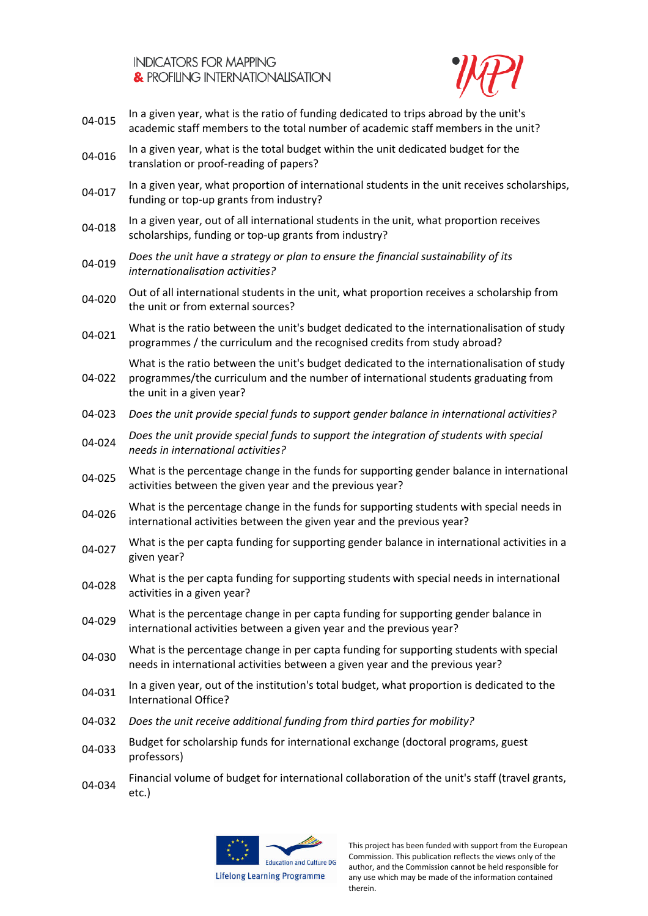![](_page_12_Picture_1.jpeg)

- 04-015 In a given year, what is the ratio of funding dedicated to trips abroad by the unit's academic staff members to the total number of academic staff members in the unit?
- 04-016 In a given year, what is the total budget within the unit dedicated budget for the translation or proof-reading of papers?
- 04-017 In a given year, what proportion of international students in the unit receives scholarships, funding or top-up grants from industry?
- 04-018 In a given year, out of all international students in the unit, what proportion receives scholarships, funding or top-up grants from industry?
- 04-019 *Does the unit have a strategy or plan to ensure the financial sustainability of its internationalisation activities?*
- 04-020 Out of all international students in the unit, what proportion receives a scholarship from the unit or from external sources?
- 04-021 What is the ratio between the unit's budget dedicated to the internationalisation of study programmes / the curriculum and the recognised credits from study abroad?

04-022 What is the ratio between the unit's budget dedicated to the internationalisation of study programmes/the curriculum and the number of international students graduating from the unit in a given year?

- 04-023 *Does the unit provide special funds to support gender balance in international activities?*
- 04-024 *Does the unit provide special funds to support the integration of students with special needs in international activities?*
- 04-025 What is the percentage change in the funds for supporting gender balance in international activities between the given year and the previous year?
- 04-026 What is the percentage change in the funds for supporting students with special needs in international activities between the given year and the previous year?
- 04-027 What is the per capta funding for supporting gender balance in international activities in a given year?
- 04-028 What is the per capta funding for supporting students with special needs in international activities in a given year?
- 04-029 What is the percentage change in per capta funding for supporting gender balance in international activities between a given year and the previous year?
- 04-030 What is the percentage change in per capta funding for supporting students with special needs in international activities between a given year and the previous year?
- 04-031 In a given year, out of the institution's total budget, what proportion is dedicated to the International Office?
- 04-032 *Does the unit receive additional funding from third parties for mobility?*
- Budget for scholarship funds for international exchange (doctoral programs, guest professors)
- 04-034 Financial volume of budget for international collaboration of the unit's staff (travel grants, etc.)

![](_page_12_Picture_22.jpeg)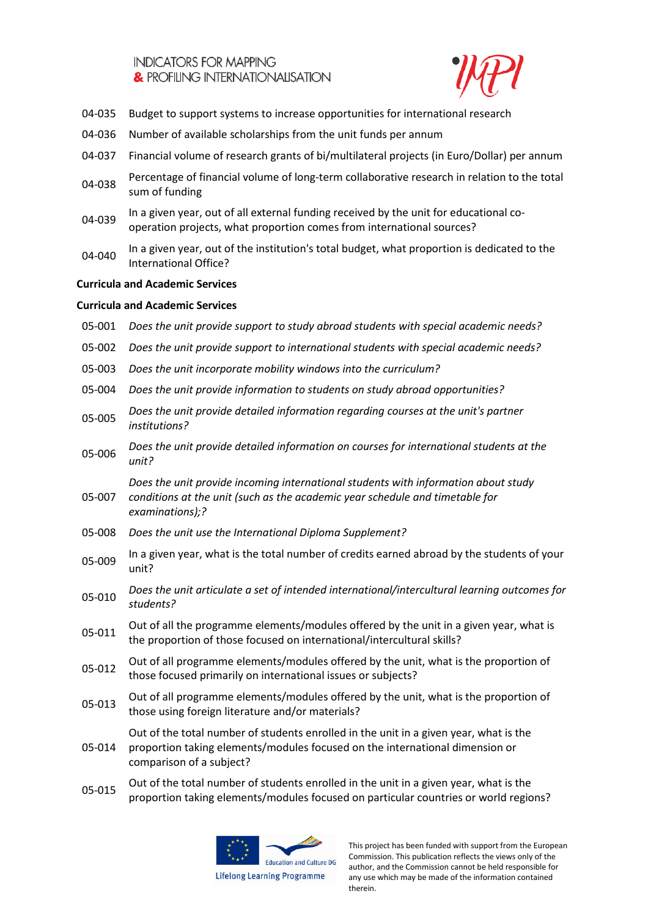![](_page_13_Picture_1.jpeg)

- 04-035 Budget to support systems to increase opportunities for international research
- 04-036 Number of available scholarships from the unit funds per annum
- 04-037 Financial volume of research grants of bi/multilateral projects (in Euro/Dollar) per annum
- D4-038 Percentage of financial volume of long-term collaborative research in relation to the total sum of funding
- 04-039 In a given year, out of all external funding received by the unit for educational cooperation projects, what proportion comes from international sources?
- In a given year, out of the institution's total budget, what proportion is dedicated to the<br>
04-040 International Office?

## **Curricula and Academic Services**

## **Curricula and Academic Services**

| 05-001 | Does the unit provide support to study abroad students with special academic needs?                                                                                                               |
|--------|---------------------------------------------------------------------------------------------------------------------------------------------------------------------------------------------------|
| 05-002 | Does the unit provide support to international students with special academic needs?                                                                                                              |
| 05-003 | Does the unit incorporate mobility windows into the curriculum?                                                                                                                                   |
| 05-004 | Does the unit provide information to students on study abroad opportunities?                                                                                                                      |
| 05-005 | Does the unit provide detailed information regarding courses at the unit's partner<br>institutions?                                                                                               |
| 05-006 | Does the unit provide detailed information on courses for international students at the<br>unit?                                                                                                  |
| 05-007 | Does the unit provide incoming international students with information about study<br>conditions at the unit (such as the academic year schedule and timetable for<br>examinations);?             |
| 05-008 | Does the unit use the International Diploma Supplement?                                                                                                                                           |
| 05-009 | In a given year, what is the total number of credits earned abroad by the students of your<br>unit?                                                                                               |
| 05-010 | Does the unit articulate a set of intended international/intercultural learning outcomes for<br>students?                                                                                         |
| 05-011 | Out of all the programme elements/modules offered by the unit in a given year, what is<br>the proportion of those focused on international/intercultural skills?                                  |
| 05-012 | Out of all programme elements/modules offered by the unit, what is the proportion of<br>those focused primarily on international issues or subjects?                                              |
| 05-013 | Out of all programme elements/modules offered by the unit, what is the proportion of<br>those using foreign literature and/or materials?                                                          |
| 05-014 | Out of the total number of students enrolled in the unit in a given year, what is the<br>proportion taking elements/modules focused on the international dimension or<br>comparison of a subject? |
|        |                                                                                                                                                                                                   |

05-015 Out of the total number of students enrolled in the unit in a given year, what is the proportion taking elements/modules focused on particular countries or world regions?

![](_page_13_Picture_12.jpeg)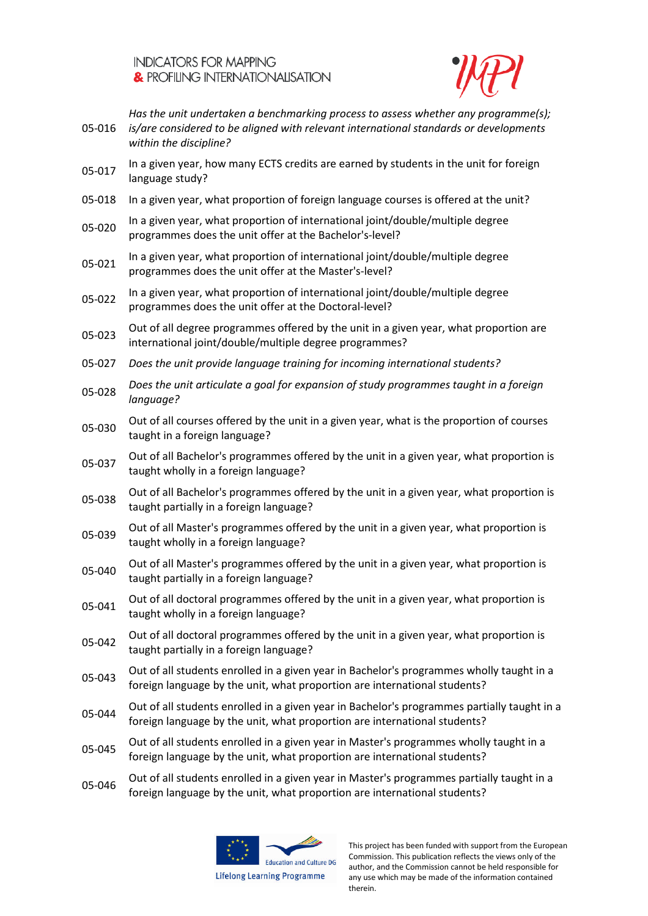![](_page_14_Picture_1.jpeg)

| 05-016 | Has the unit undertaken a benchmarking process to assess whether any programme(s);<br>is/are considered to be aligned with relevant international standards or developments<br>within the discipline? |
|--------|-------------------------------------------------------------------------------------------------------------------------------------------------------------------------------------------------------|
| 05-017 | In a given year, how many ECTS credits are earned by students in the unit for foreign<br>language study?                                                                                              |
| 05-018 | In a given year, what proportion of foreign language courses is offered at the unit?                                                                                                                  |
| 05-020 | In a given year, what proportion of international joint/double/multiple degree<br>programmes does the unit offer at the Bachelor's-level?                                                             |
| 05-021 | In a given year, what proportion of international joint/double/multiple degree<br>programmes does the unit offer at the Master's-level?                                                               |
| 05-022 | In a given year, what proportion of international joint/double/multiple degree<br>programmes does the unit offer at the Doctoral-level?                                                               |
| 05-023 | Out of all degree programmes offered by the unit in a given year, what proportion are<br>international joint/double/multiple degree programmes?                                                       |
| 05-027 | Does the unit provide language training for incoming international students?                                                                                                                          |
| 05-028 | Does the unit articulate a goal for expansion of study programmes taught in a foreign<br>language?                                                                                                    |
| 05-030 | Out of all courses offered by the unit in a given year, what is the proportion of courses<br>taught in a foreign language?                                                                            |
| 05-037 | Out of all Bachelor's programmes offered by the unit in a given year, what proportion is<br>taught wholly in a foreign language?                                                                      |
| 05-038 | Out of all Bachelor's programmes offered by the unit in a given year, what proportion is<br>taught partially in a foreign language?                                                                   |
| 05-039 | Out of all Master's programmes offered by the unit in a given year, what proportion is<br>taught wholly in a foreign language?                                                                        |
| 05-040 | Out of all Master's programmes offered by the unit in a given year, what proportion is<br>taught partially in a foreign language?                                                                     |
| 05-041 | Out of all doctoral programmes offered by the unit in a given year, what proportion is<br>taught wholly in a foreign language?                                                                        |
| 05-042 | Out of all doctoral programmes offered by the unit in a given year, what proportion is<br>taught partially in a foreign language?                                                                     |
| 05-043 | Out of all students enrolled in a given year in Bachelor's programmes wholly taught in a<br>foreign language by the unit, what proportion are international students?                                 |
| 05-044 | Out of all students enrolled in a given year in Bachelor's programmes partially taught in a<br>foreign language by the unit, what proportion are international students?                              |
| 05-045 | Out of all students enrolled in a given year in Master's programmes wholly taught in a<br>foreign language by the unit, what proportion are international students?                                   |
|        |                                                                                                                                                                                                       |

05-046 Out of all students enrolled in a given year in Master's programmes partially taught in a foreign language by the unit, what proportion are international students?

![](_page_14_Picture_4.jpeg)

**Lifelong Learning Programme**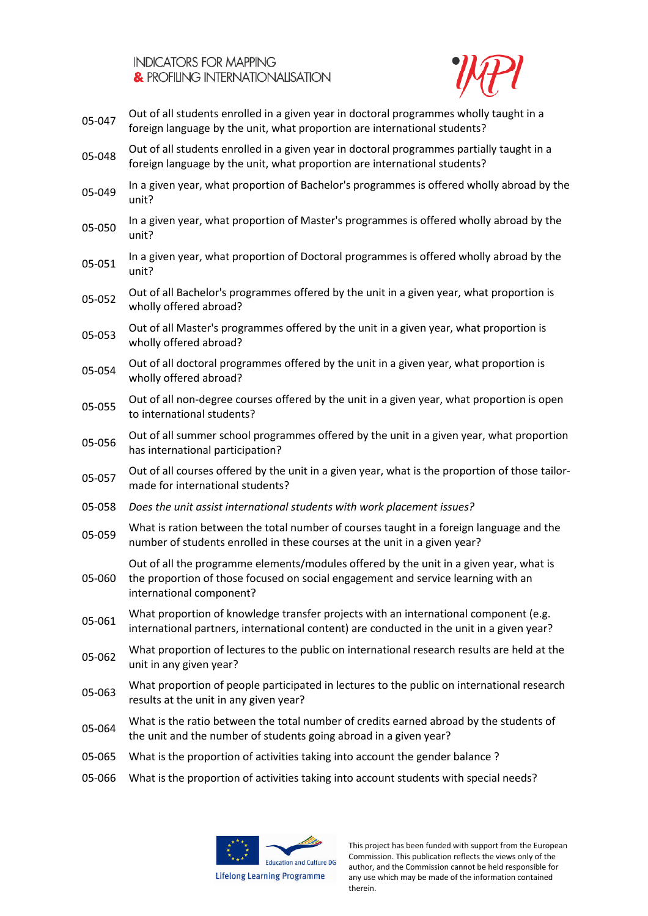![](_page_15_Picture_1.jpeg)

- 05-047 Out of all students enrolled in a given year in doctoral programmes wholly taught in a foreign language by the unit, what proportion are international students?
- 05-048 Out of all students enrolled in a given year in doctoral programmes partially taught in a foreign language by the unit, what proportion are international students?
- 05-049 In a given year, what proportion of Bachelor's programmes is offered wholly abroad by the unit?
- 05-050 In a given year, what proportion of Master's programmes is offered wholly abroad by the unit?
- In a given year, what proportion of Doctoral programmes is offered wholly abroad by the<br>05-051 unit?
- Out of all Bachelor's programmes offered by the unit in a given year, what proportion is wholly offered abroad?
- Out of all Master's programmes offered by the unit in a given year, what proportion is wholly offered abroad?
- Out of all doctoral programmes offered by the unit in a given year, what proportion is wholly offered abroad?
- 05-055 Out of all non-degree courses offered by the unit in a given year, what proportion is open to international students?
- Out of all summer school programmes offered by the unit in a given year, what proportion has international participation?
- 05-057 Out of all courses offered by the unit in a given year, what is the proportion of those tailormade for international students?
- 05-058 *Does the unit assist international students with work placement issues?*
- 05-059 What is ration between the total number of courses taught in a foreign language and the number of students enrolled in these courses at the unit in a given year?

Out of all the programme elements/modules offered by the unit in a given year, what is

- 05-060 the proportion of those focused on social engagement and service learning with an international component?
- 05-061 What proportion of knowledge transfer projects with an international component (e.g. international partners, international content) are conducted in the unit in a given year?
- 05-062 What proportion of lectures to the public on international research results are held at the unit in any given year?
- 05-063 What proportion of people participated in lectures to the public on international research results at the unit in any given year?
- 05-064 What is the ratio between the total number of credits earned abroad by the students of the unit and the number of students going abroad in a given year?
- 05-065 What is the proportion of activities taking into account the gender balance ?
- 05-066 What is the proportion of activities taking into account students with special needs?

![](_page_15_Picture_23.jpeg)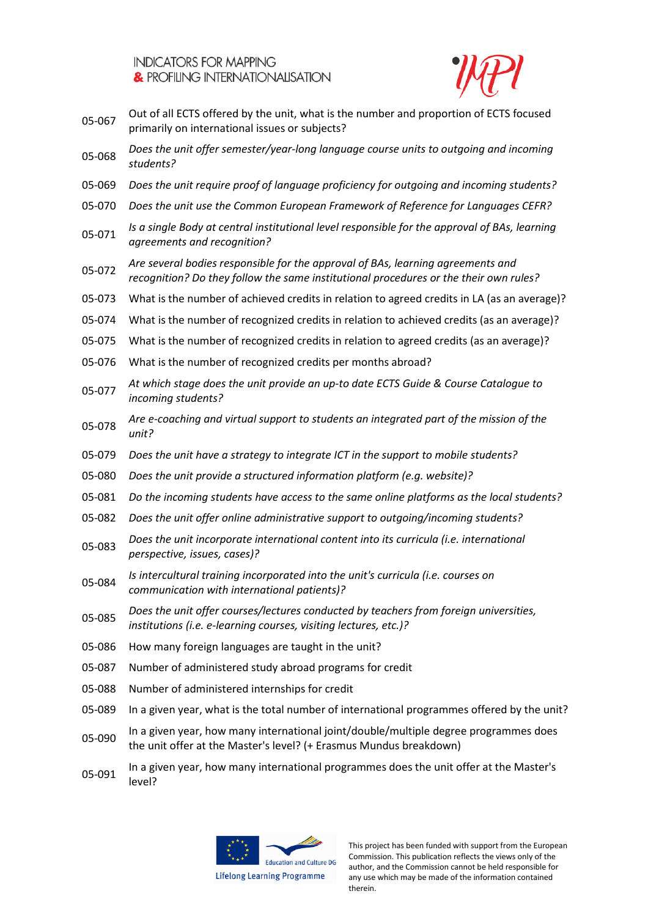![](_page_16_Picture_1.jpeg)

- Out of all ECTS offered by the unit, what is the number and proportion of ECTS focused primarily on international issues or subjects?
- 05-068 *Does the unit offer semester/year-long language course units to outgoing and incoming students?*
- 05-069 *Does the unit require proof of language proficiency for outgoing and incoming students?*
- 05-070 *Does the unit use the Common European Framework of Reference for Languages CEFR?*
- 05-071 *Is a single Body at central institutional level responsible for the approval of BAs, learning agreements and recognition?*
- 05-072 *Are several bodies responsible for the approval of BAs, learning agreements and recognition? Do they follow the same institutional procedures or the their own rules?*
- 05-073 What is the number of achieved credits in relation to agreed credits in LA (as an average)?
- 05-074 What is the number of recognized credits in relation to achieved credits (as an average)?
- 05-075 What is the number of recognized credits in relation to agreed credits (as an average)?
- 05-076 What is the number of recognized credits per months abroad?
- 05-077 *At which stage does the unit provide an up-to date ECTS Guide & Course Catalogue to incoming students?*
- 05-078 *Are e-coaching and virtual support to students an integrated part of the mission of the unit?*
- 05-079 *Does the unit have a strategy to integrate ICT in the support to mobile students?*
- 05-080 *Does the unit provide a structured information platform (e.g. website)?*
- 05-081 *Do the incoming students have access to the same online platforms as the local students?*
- 05-082 *Does the unit offer online administrative support to outgoing/incoming students?*
- 05-083 *Does the unit incorporate international content into its curricula (i.e. international perspective, issues, cases)?*
- 05-084 *Is intercultural training incorporated into the unit's curricula (i.e. courses on communication with international patients)?*
- 05-085 *Does the unit offer courses/lectures conducted by teachers from foreign universities, institutions (i.e. e-learning courses, visiting lectures, etc.)?*
- 05-086 How many foreign languages are taught in the unit?
- 05-087 Number of administered study abroad programs for credit
- 05-088 Number of administered internships for credit
- 05-089 In a given year, what is the total number of international programmes offered by the unit?
- 05-090 In a given year, how many international joint/double/multiple degree programmes does the unit offer at the Master's level? (+ Erasmus Mundus breakdown)
- 05-091 In a given year, how many international programmes does the unit offer at the Master's level?

![](_page_16_Picture_27.jpeg)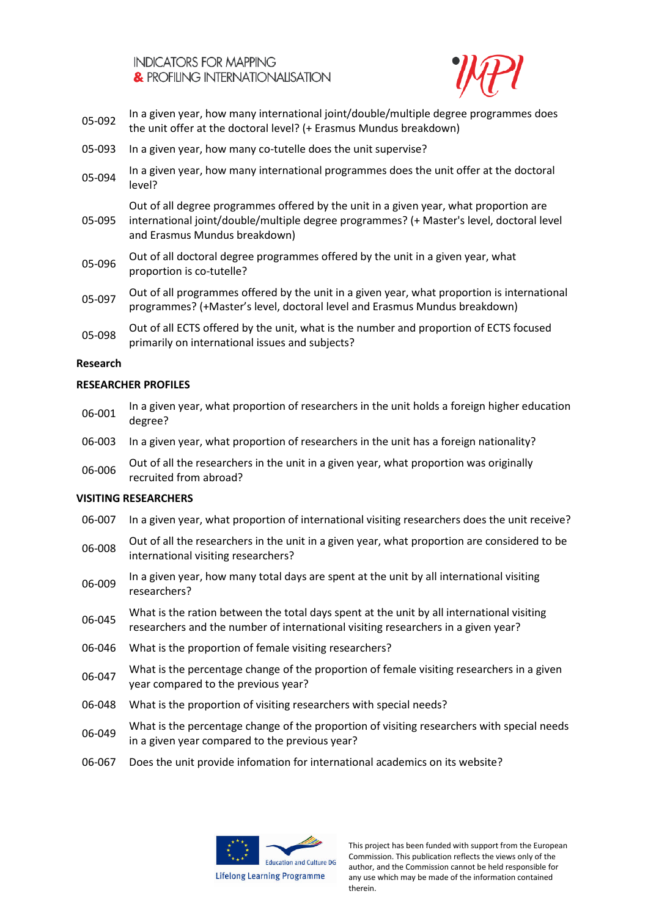![](_page_17_Picture_1.jpeg)

- 05-092 In a given year, how many international joint/double/multiple degree programmes does the unit offer at the doctoral level? (+ Erasmus Mundus breakdown)
- 05-093 In a given year, how many co-tutelle does the unit supervise?
- 05-094 In a given year, how many international programmes does the unit offer at the doctoral level?
- 05-095 Out of all degree programmes offered by the unit in a given year, what proportion are international joint/double/multiple degree programmes? (+ Master's level, doctoral level and Erasmus Mundus breakdown)
- 05-096 Out of all doctoral degree programmes offered by the unit in a given year, what proportion is co-tutelle?
- 05-097 Out of all programmes offered by the unit in a given year, what proportion is international programmes? (+Master's level, doctoral level and Erasmus Mundus breakdown)
- Out of all ECTS offered by the unit, what is the number and proportion of ECTS focused primarily on international issues and subjects?

#### **Research**

#### **RESEARCHER PROFILES**

- 06-001 In a given year, what proportion of researchers in the unit holds a foreign higher education degree?
- 06-003 In a given year, what proportion of researchers in the unit has a foreign nationality?
- Out of all the researchers in the unit in a given year, what proportion was originally recruited from abroad?

## **VISITING RESEARCHERS**

- 06-007 In a given year, what proportion of international visiting researchers does the unit receive?
- Out of all the researchers in the unit in a given year, what proportion are considered to be international visiting researchers?
- 06-009 In a given year, how many total days are spent at the unit by all international visiting researchers?
- 06-045 What is the ration between the total days spent at the unit by all international visiting researchers and the number of international visiting researchers in a given year?
- 06-046 What is the proportion of female visiting researchers?
- 06-047 What is the percentage change of the proportion of female visiting researchers in a given year compared to the previous year?
- 06-048 What is the proportion of visiting researchers with special needs?
- 06-049 What is the percentage change of the proportion of visiting researchers with special needs in a given year compared to the previous year?
- 06-067 Does the unit provide infomation for international academics on its website?

![](_page_17_Picture_24.jpeg)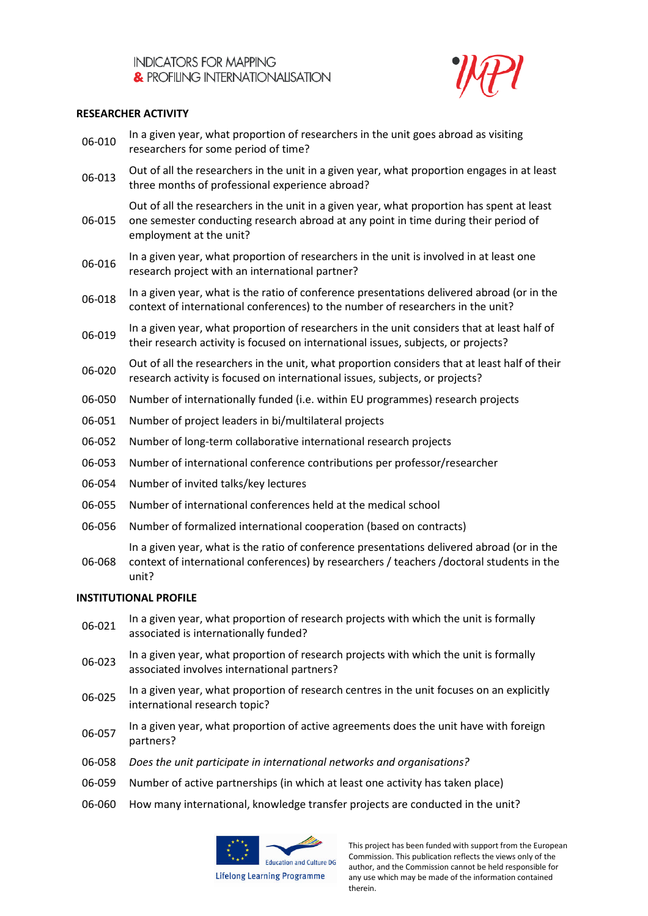![](_page_18_Picture_1.jpeg)

## **RESEARCHER ACTIVITY**

- 06-010 In a given year, what proportion of researchers in the unit goes abroad as visiting researchers for some period of time?
- 06-013 Out of all the researchers in the unit in a given year, what proportion engages in at least three months of professional experience abroad?

06-015 Out of all the researchers in the unit in a given year, what proportion has spent at least one semester conducting research abroad at any point in time during their period of employment at the unit?

- 06-016 In a given year, what proportion of researchers in the unit is involved in at least one research project with an international partner?
- 06-018 In a given year, what is the ratio of conference presentations delivered abroad (or in the context of international conferences) to the number of researchers in the unit?
- 06-019 In a given year, what proportion of researchers in the unit considers that at least half of their research activity is focused on international issues, subjects, or projects?
- Out of all the researchers in the unit, what proportion considers that at least half of their<br>
06-020 research activity is focused on international issues, subjects, or projects?
- 06-050 Number of internationally funded (i.e. within EU programmes) research projects
- 06-051 Number of project leaders in bi/multilateral projects
- 06-052 Number of long-term collaborative international research projects
- 06-053 Number of international conference contributions per professor/researcher
- 06-054 Number of invited talks/key lectures
- 06-055 Number of international conferences held at the medical school
- 06-056 Number of formalized international cooperation (based on contracts)
	- In a given year, what is the ratio of conference presentations delivered abroad (or in the
- 06-068 context of international conferences) by researchers / teachers /doctoral students in the unit?

#### **INSTITUTIONAL PROFILE**

- 06-021 In a given year, what proportion of research projects with which the unit is formally associated is internationally funded?
- 06-023 In a given year, what proportion of research projects with which the unit is formally associated involves international partners?
- 06-025 In a given year, what proportion of research centres in the unit focuses on an explicitly international research topic?
- 06-057 In a given year, what proportion of active agreements does the unit have with foreign partners?
- 06-058 *Does the unit participate in international networks and organisations?*
- 06-059 Number of active partnerships (in which at least one activity has taken place)
- 06-060 How many international, knowledge transfer projects are conducted in the unit?

![](_page_18_Picture_27.jpeg)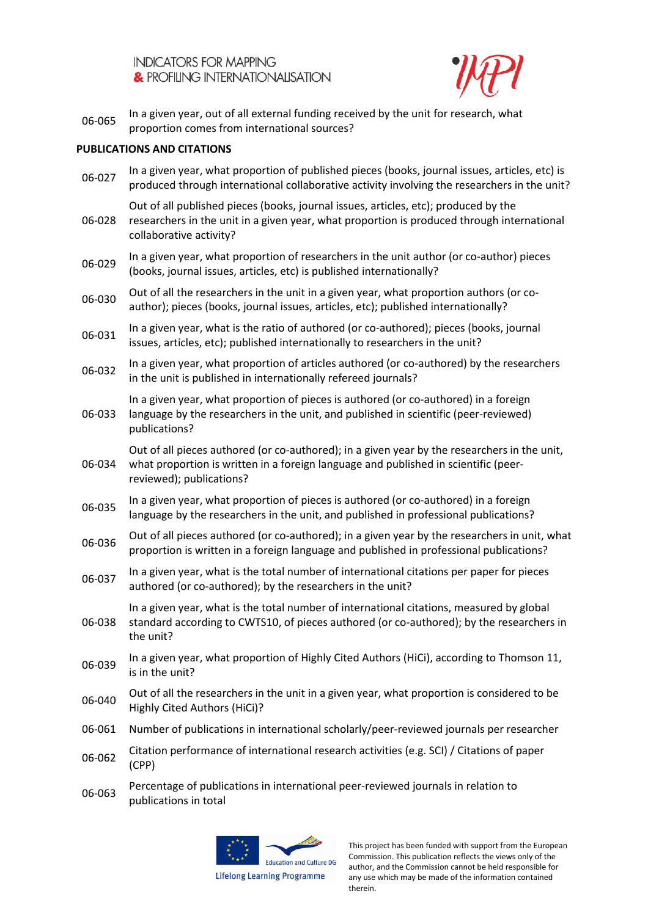![](_page_19_Picture_1.jpeg)

In a given year, out of all external funding received by the unit for research, what proportion comes from international sources?

## **PUBLICATIONS AND CITATIONS**

| 06-027 | In a given year, what proportion of published pieces (books, journal issues, articles, etc) is<br>produced through international collaborative activity involving the researchers in the unit?                  |
|--------|-----------------------------------------------------------------------------------------------------------------------------------------------------------------------------------------------------------------|
| 06-028 | Out of all published pieces (books, journal issues, articles, etc); produced by the<br>researchers in the unit in a given year, what proportion is produced through international<br>collaborative activity?    |
| 06-029 | In a given year, what proportion of researchers in the unit author (or co-author) pieces<br>(books, journal issues, articles, etc) is published internationally?                                                |
| 06-030 | Out of all the researchers in the unit in a given year, what proportion authors (or co-<br>author); pieces (books, journal issues, articles, etc); published internationally?                                   |
| 06-031 | In a given year, what is the ratio of authored (or co-authored); pieces (books, journal<br>issues, articles, etc); published internationally to researchers in the unit?                                        |
| 06-032 | In a given year, what proportion of articles authored (or co-authored) by the researchers<br>in the unit is published in internationally refereed journals?                                                     |
| 06-033 | In a given year, what proportion of pieces is authored (or co-authored) in a foreign<br>language by the researchers in the unit, and published in scientific (peer-reviewed)<br>publications?                   |
| 06-034 | Out of all pieces authored (or co-authored); in a given year by the researchers in the unit,<br>what proportion is written in a foreign language and published in scientific (peer-<br>reviewed); publications? |
| 06-035 | In a given year, what proportion of pieces is authored (or co-authored) in a foreign<br>language by the researchers in the unit, and published in professional publications?                                    |
| 06-036 | Out of all pieces authored (or co-authored); in a given year by the researchers in unit, what<br>proportion is written in a foreign language and published in professional publications?                        |
| 06-037 | In a given year, what is the total number of international citations per paper for pieces<br>authored (or co-authored); by the researchers in the unit?                                                         |
| 06-038 | In a given year, what is the total number of international citations, measured by global<br>standard according to CWTS10, of pieces authored (or co-authored); by the researchers in<br>the unit?               |
| 06-039 | In a given year, what proportion of Highly Cited Authors (HiCi), according to Thomson 11,<br>is in the unit?                                                                                                    |
| 06-040 | Out of all the researchers in the unit in a given year, what proportion is considered to be<br>Highly Cited Authors (HiCi)?                                                                                     |
| 06-061 | Number of publications in international scholarly/peer-reviewed journals per researcher                                                                                                                         |
| 06-062 | Citation performance of international research activities (e.g. SCI) / Citations of paper<br>(CPP)                                                                                                              |
|        |                                                                                                                                                                                                                 |

06-063 Percentage of publications in international peer-reviewed journals in relation to publications in total

![](_page_19_Picture_6.jpeg)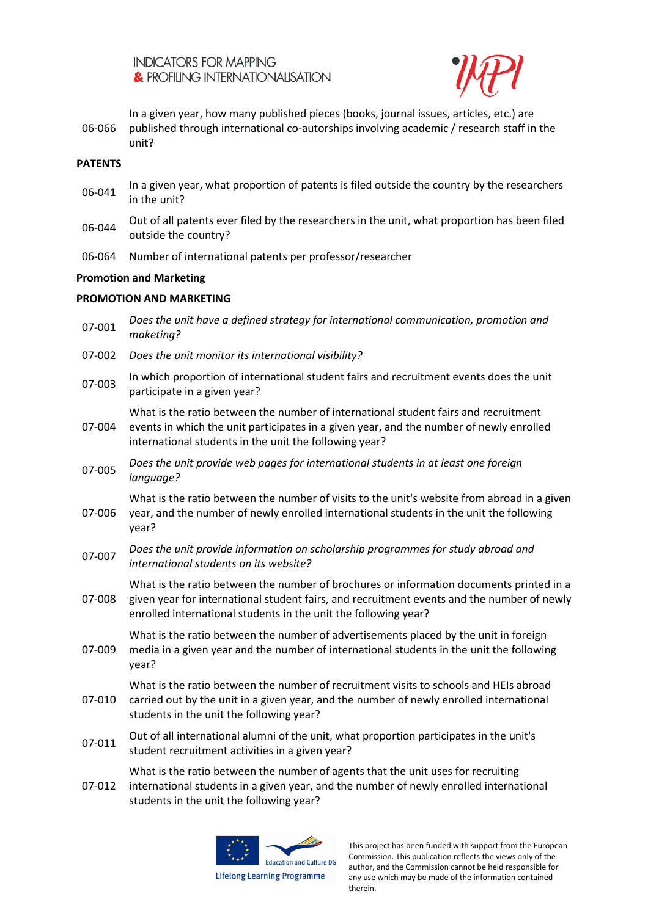![](_page_20_Picture_1.jpeg)

06-066 In a given year, how many published pieces (books, journal issues, articles, etc.) are published through international co-autorships involving academic / research staff in the unit?

#### **PATENTS**

- In a given year, what proportion of patents is filed outside the country by the researchers in the unit?
- Out of all patents ever filed by the researchers in the unit, what proportion has been filed<br>
on the contract of the researchers in the unit, what proportion has been filed outside the country?
- 06-064 Number of international patents per professor/researcher

## **Promotion and Marketing**

## **PROMOTION AND MARKETING**

- 07-001 *Does the unit have a defined strategy for international communication, promotion and maketing?* 07-002 *Does the unit monitor its international visibility?* 07-003 In which proportion of international student fairs and recruitment events does the unit participate in a given year? 07-004 What is the ratio between the number of international student fairs and recruitment events in which the unit participates in a given year, and the number of newly enrolled international students in the unit the following year? 07-005 *Does the unit provide web pages for international students in at least one foreign language?* 07-006 What is the ratio between the number of visits to the unit's website from abroad in a given year, and the number of newly enrolled international students in the unit the following year? 07-007 *Does the unit provide information on scholarship programmes for study abroad and international students on its website?* 07-008 What is the ratio between the number of brochures or information documents printed in a given year for international student fairs, and recruitment events and the number of newly enrolled international students in the unit the following year? 07-009 What is the ratio between the number of advertisements placed by the unit in foreign media in a given year and the number of international students in the unit the following year? 07-010 What is the ratio between the number of recruitment visits to schools and HEIs abroad carried out by the unit in a given year, and the number of newly enrolled international students in the unit the following year? 07-011 Out of all international alumni of the unit, what proportion participates in the unit's student recruitment activities in a given year? What is the ratio between the number of agents that the unit uses for recruiting
- 07-012 international students in a given year, and the number of newly enrolled international students in the unit the following year?

![](_page_20_Picture_11.jpeg)

**Lifelong Learning Programme**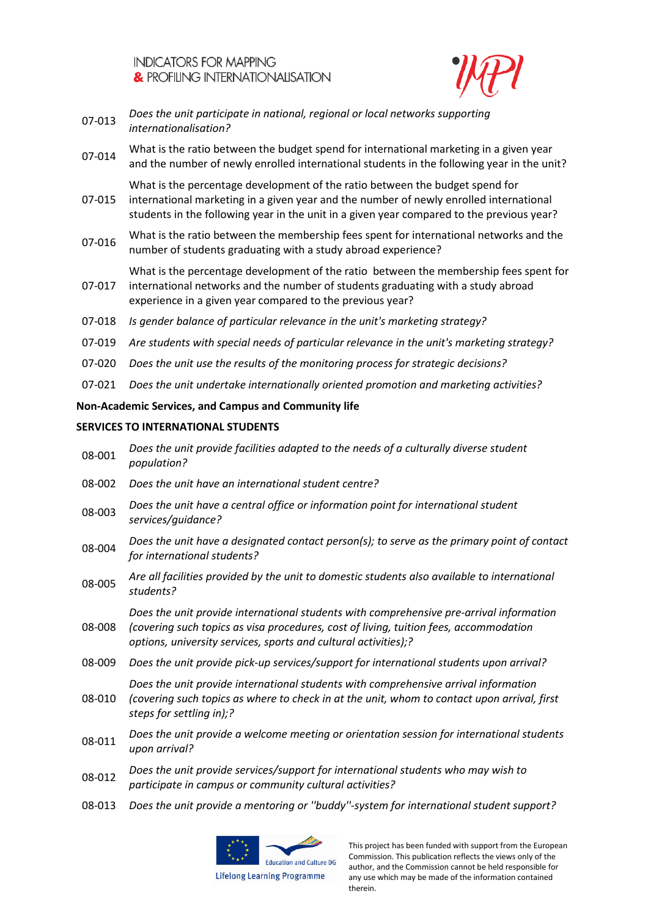![](_page_21_Picture_1.jpeg)

- 07-013 *Does the unit participate in national, regional or local networks supporting internationalisation?*
- 07-014 What is the ratio between the budget spend for international marketing in a given year and the number of newly enrolled international students in the following year in the unit?

07-015 What is the percentage development of the ratio between the budget spend for international marketing in a given year and the number of newly enrolled international students in the following year in the unit in a given year compared to the previous year?

07-016 What is the ratio between the membership fees spent for international networks and the number of students graduating with a study abroad experience?

What is the percentage development of the ratio between the membership fees spent for

- 07-017 international networks and the number of students graduating with a study abroad experience in a given year compared to the previous year?
- 07-018 *Is gender balance of particular relevance in the unit's marketing strategy?*
- 07-019 *Are students with special needs of particular relevance in the unit's marketing strategy?*
- 07-020 *Does the unit use the results of the monitoring process for strategic decisions?*
- 07-021 *Does the unit undertake internationally oriented promotion and marketing activities?*

# **Non-Academic Services, and Campus and Community life**

## **SERVICES TO INTERNATIONAL STUDENTS**

- 08-001 *Does the unit provide facilities adapted to the needs of a culturally diverse student population?*
- 08-002 *Does the unit have an international student centre?*
- 08-003 *Does the unit have a central office or information point for international student services/guidance?*
- 08-004 *Does the unit have a designated contact person(s); to serve as the primary point of contact for international students?*
- 08-005 *Are all facilities provided by the unit to domestic students also available to international students?*

08-008 *Does the unit provide international students with comprehensive pre-arrival information (covering such topics as visa procedures, cost of living, tuition fees, accommodation options, university services, sports and cultural activities);?*

- 08-009 *Does the unit provide pick-up services/support for international students upon arrival?*
	- *Does the unit provide international students with comprehensive arrival information*
- 08-010 *(covering such topics as where to check in at the unit, whom to contact upon arrival, first steps for settling in);?*
- 08-011 *Does the unit provide a welcome meeting or orientation session for international students upon arrival?*
- 08-012 *Does the unit provide services/support for international students who may wish to participate in campus or community cultural activities?*
- 08-013 *Does the unit provide a mentoring or ''buddy''-system for international student support?*

![](_page_21_Picture_26.jpeg)

**Lifelong Learning Programme**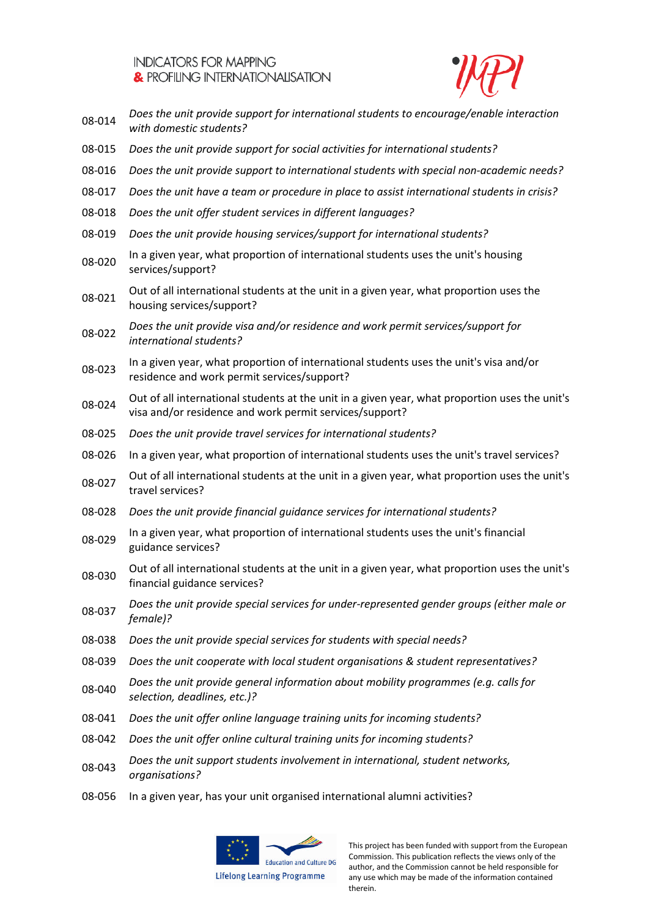![](_page_22_Picture_1.jpeg)

- 08-014 *Does the unit provide support for international students to encourage/enable interaction with domestic students?*
- 08-015 *Does the unit provide support for social activities for international students?*
- 08-016 *Does the unit provide support to international students with special non-academic needs?*
- 08-017 *Does the unit have a team or procedure in place to assist international students in crisis?*
- 08-018 *Does the unit offer student services in different languages?*
- 08-019 *Does the unit provide housing services/support for international students?*
- 08-020 In a given year, what proportion of international students uses the unit's housing services/support?
- 08-021 Out of all international students at the unit in a given year, what proportion uses the housing services/support?
- 08-022 *Does the unit provide visa and/or residence and work permit services/support for international students?*
- 08-023 In a given year, what proportion of international students uses the unit's visa and/or residence and work permit services/support?
- 08-024 Out of all international students at the unit in a given year, what proportion uses the unit's visa and/or residence and work permit services/support?
- 08-025 *Does the unit provide travel services for international students?*
- 08-026 In a given year, what proportion of international students uses the unit's travel services?
- 08-027 Out of all international students at the unit in a given year, what proportion uses the unit's travel services?
- 08-028 *Does the unit provide financial guidance services for international students?*
- 08-029 In a given year, what proportion of international students uses the unit's financial guidance services?
- 08-030 Out of all international students at the unit in a given year, what proportion uses the unit's financial guidance services?
- 08-037 *Does the unit provide special services for under-represented gender groups (either male or female)?*
- 08-038 *Does the unit provide special services for students with special needs?*
- 08-039 *Does the unit cooperate with local student organisations & student representatives?*
- 08-040 *Does the unit provide general information about mobility programmes (e.g. calls for selection, deadlines, etc.)?*
- 08-041 *Does the unit offer online language training units for incoming students?*
- 08-042 *Does the unit offer online cultural training units for incoming students?*
- 08-043 *Does the unit support students involvement in international, student networks, organisations?*
- 08-056 In a given year, has your unit organised international alumni activities?

![](_page_22_Picture_27.jpeg)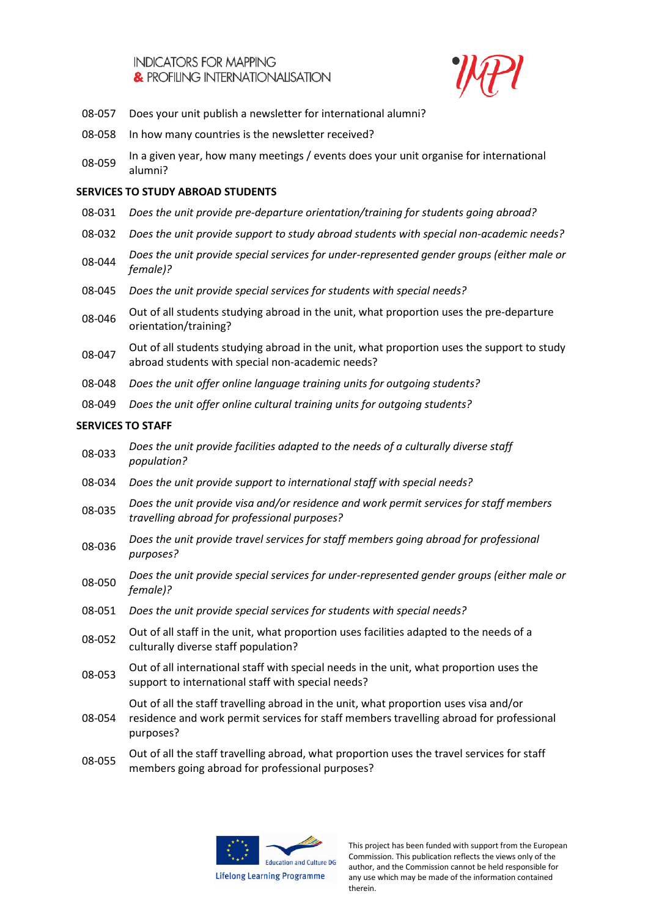![](_page_23_Picture_1.jpeg)

- 08-057 Does your unit publish a newsletter for international alumni?
- 08-058 In how many countries is the newsletter received?
- 08-059 In a given year, how many meetings / events does your unit organise for international alumni?

## **SERVICES TO STUDY ABROAD STUDENTS**

- 08-031 *Does the unit provide pre-departure orientation/training for students going abroad?*
- 08-032 *Does the unit provide support to study abroad students with special non-academic needs?*
- 08-044 *Does the unit provide special services for under-represented gender groups (either male or female)?*
- 08-045 *Does the unit provide special services for students with special needs?*
- Out of all students studying abroad in the unit, what proportion uses the pre-departure orientation/training?
- Out of all students studying abroad in the unit, what proportion uses the support to study abroad students with special non-academic needs?
- 08-048 *Does the unit offer online language training units for outgoing students?*
- 08-049 *Does the unit offer online cultural training units for outgoing students?*

# **SERVICES TO STAFF**

- 08-033 *Does the unit provide facilities adapted to the needs of a culturally diverse staff population?*
- 08-034 *Does the unit provide support to international staff with special needs?*
- 08-035 *Does the unit provide visa and/or residence and work permit services for staff members travelling abroad for professional purposes?*
- 08-036 *Does the unit provide travel services for staff members going abroad for professional purposes?*
- 08-050 *Does the unit provide special services for under-represented gender groups (either male or female)?*
- 08-051 *Does the unit provide special services for students with special needs?*
- Out of all staff in the unit, what proportion uses facilities adapted to the needs of a<br>
08-052 culturally diverse staff population?
- 08-053 Out of all international staff with special needs in the unit, what proportion uses the support to international staff with special needs?

Out of all the staff travelling abroad in the unit, what proportion uses visa and/or

- 08-054 residence and work permit services for staff members travelling abroad for professional purposes?
- Out of all the staff travelling abroad, what proportion uses the travel services for staff members going abroad for professional purposes?

![](_page_23_Picture_26.jpeg)